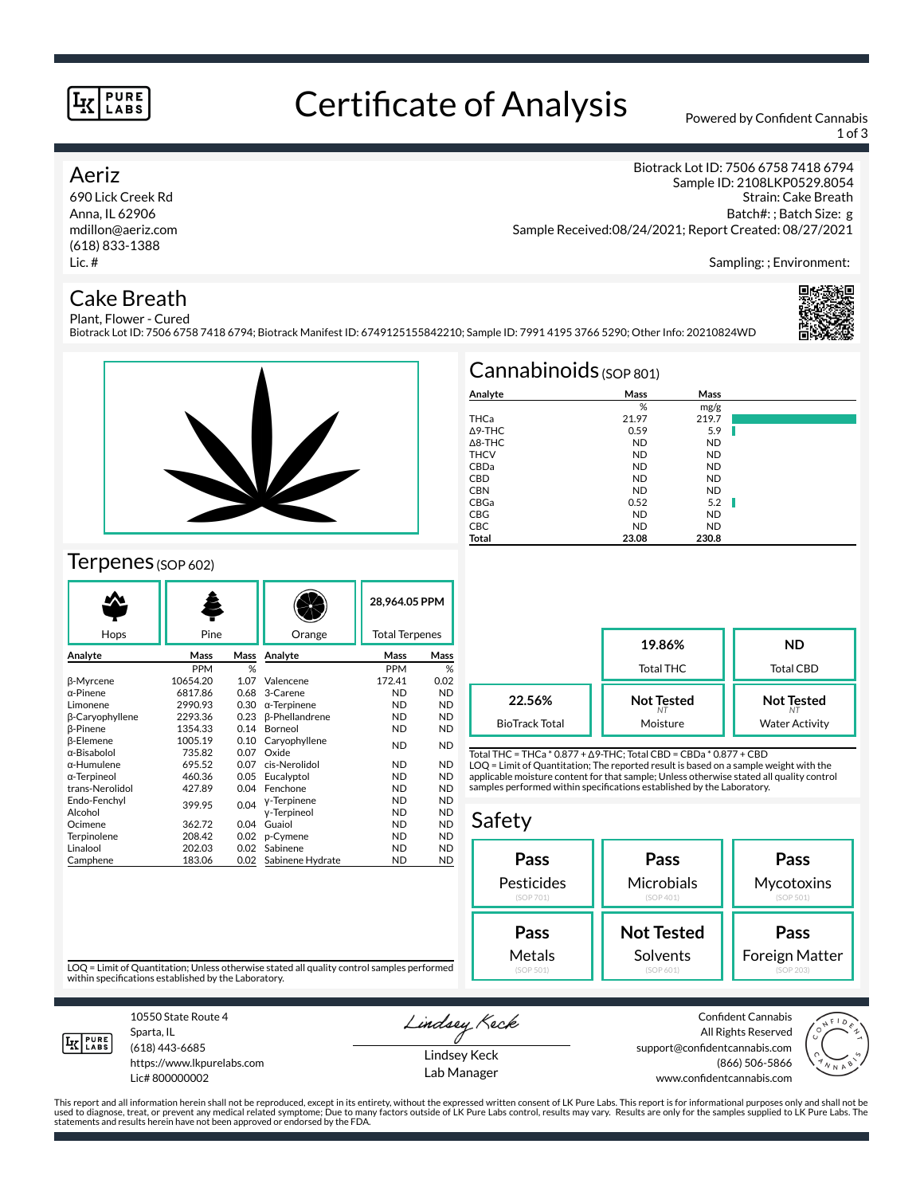#### **PURE** LABS

## Certificate of Analysis Powered by Confident Cannabis

1 of 3

Biotrack Lot ID: 7506 6758 7418 6794

### Aeriz

690 Lick Creek Rd Anna, IL 62906 mdillon@aeriz.com (618) 833-1388 Lic. #

## Cake Breath

Sample ID: 2108LKP0529.8054 Strain: Cake Breath Batch#: ; Batch Size: g Sample Received:08/24/2021; Report Created: 08/27/2021

Sampling: ; Environment:

#### Plant, Flower - Cured Biotrack Lot ID: 7506 6758 7418 6794; Biotrack Manifest ID: 6749125155842210; Sample ID: 7991 4195 3766 5290; Other Info: 20210824WD





## Terpenes (SOP 602)

|                  |            |      |                       | 28,964.05 PPM         |           |
|------------------|------------|------|-----------------------|-----------------------|-----------|
| Hops             | Pine       |      | Orange                | <b>Total Terpenes</b> |           |
| Analyte          | Mass       | Mass | Analyte               | Mass                  | Mass      |
|                  | <b>PPM</b> | %    |                       | <b>PPM</b>            | %         |
| <b>ß-Myrcene</b> | 10654.20   | 1.07 | Valencene             | 172.41                | 0.02      |
| α-Pinene         | 6817.86    | 0.68 | 3-Carene              | <b>ND</b>             | <b>ND</b> |
| Limonene         | 2990.93    | 0.30 | $\alpha$ -Terpinene   | <b>ND</b>             | <b>ND</b> |
| β-Caryophyllene  | 2293.36    | 0.23 | <b>ß-Phellandrene</b> | <b>ND</b>             | <b>ND</b> |
| <b>B-Pinene</b>  | 1354.33    | 0.14 | Borneol               | <b>ND</b>             | <b>ND</b> |
| <b>B-Elemene</b> | 1005.19    | 0.10 | Caryophyllene         | <b>ND</b>             | <b>ND</b> |
| α-Bisabolol      | 735.82     | 0.07 | Oxide                 |                       |           |
| α-Humulene       | 695.52     | 0.07 | cis-Nerolidol         | <b>ND</b>             | <b>ND</b> |
| α-Terpineol      | 460.36     | 0.05 | Eucalyptol            | <b>ND</b>             | <b>ND</b> |
| trans-Nerolidol  | 427.89     | 0.04 | Fenchone              | <b>ND</b>             | <b>ND</b> |
| Endo-Fenchyl     | 399.95     | 0.04 | y-Terpinene           | <b>ND</b>             | <b>ND</b> |
| Alcohol          |            |      | y-Terpineol           | <b>ND</b>             | <b>ND</b> |
| Ocimene          | 362.72     | 0.04 | Guaiol                | <b>ND</b>             | <b>ND</b> |
| Terpinolene      | 208.42     | 0.02 | p-Cymene              | <b>ND</b>             | <b>ND</b> |
| Linalool         | 202.03     | 0.02 | Sabinene              | <b>ND</b>             | <b>ND</b> |
| Camphene         | 183.06     | 0.02 | Sabinene Hydrate      | <b>ND</b>             | <b>ND</b> |

| Cannabinoids $(sOP 801)$ |           |           |    |  |  |  |
|--------------------------|-----------|-----------|----|--|--|--|
| Analyte                  | Mass      | Mass      |    |  |  |  |
|                          | %         | mg/g      |    |  |  |  |
| <b>THCa</b>              | 21.97     | 219.7     |    |  |  |  |
| $\Delta$ 9-THC           | 0.59      | 5.9       |    |  |  |  |
| $\triangle$ 8-THC        | <b>ND</b> | <b>ND</b> |    |  |  |  |
| <b>THCV</b>              | <b>ND</b> | <b>ND</b> |    |  |  |  |
| CBDa                     | <b>ND</b> | <b>ND</b> |    |  |  |  |
| <b>CBD</b>               | <b>ND</b> | <b>ND</b> |    |  |  |  |
| <b>CBN</b>               | <b>ND</b> | <b>ND</b> |    |  |  |  |
| CBGa                     | 0.52      | 5.2       | H. |  |  |  |
| CBG                      | <b>ND</b> | <b>ND</b> |    |  |  |  |
| <b>CBC</b>               | <b>ND</b> | <b>ND</b> |    |  |  |  |
| <b>Total</b>             | 23.08     | 230.8     |    |  |  |  |

**19.86%** Total THC **ND** Total CBD **Not Tested** *NT* Moisture **Not Tested** *NT* Water Activity **22.56%** BioTrack Total

Total THC = THCa \* 0.877 + ∆9-THC; Total CBD = CBDa \* 0.877 + CBD LOQ = Limit of Quantitation; The reported result is based on a sample weight with the applicable moisture content for that sample; Unless otherwise stated all quality control samples performed within specifications established by the Laboratory.

#### Safety



LOQ = Limit of Quantitation; Unless otherwise stated all quality control samples performed within specifications established by the Laboratory.



Sparta, IL (618) 443-6685

10550 State Route 4

https://www.lkpurelabs.com Lic# 800000002

Lindsey Keck

Lindsey Keck Lab Manager

Confident Cannabis All Rights Reserved support@confidentcannabis.com (866) 506-5866 www.confidentcannabis.com



This report and all information herein shall not be reproduced, except in its entirety, without the expressed written consent of LK Pure Labs. This report is for informational purposes only and shall not be<br>used to diagnos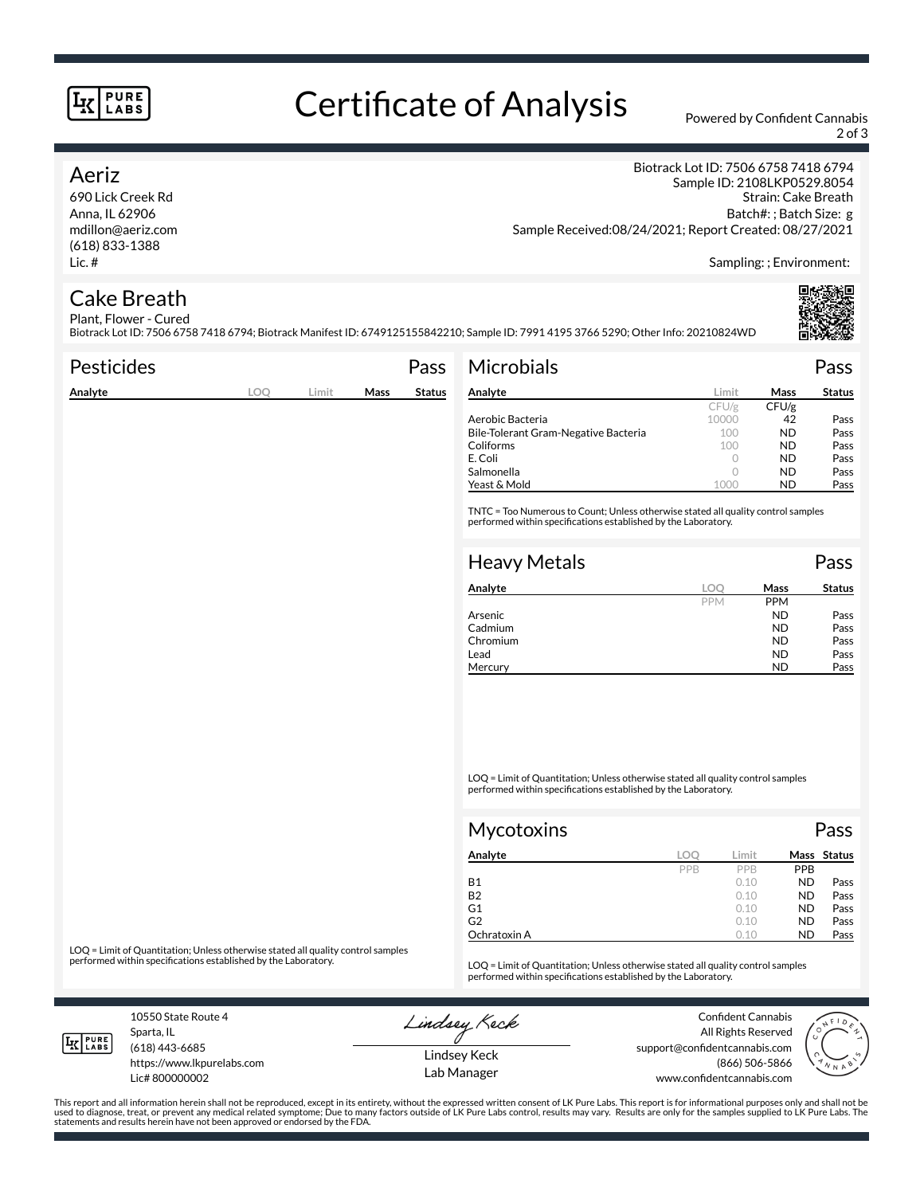#### **PURE** LABS

# Certificate of Analysis Powered by Confident Cannabis

2 of 3

### Aeriz

690 Lick Creek Rd Anna, IL 62906 mdillon@aeriz.com (618) 833-1388 Lic. #

Biotrack Lot ID: 7506 6758 7418 6794 Sample ID: 2108LKP0529.8054 Strain: Cake Breath Batch#: ; Batch Size: g Sample Received:08/24/2021; Report Created: 08/27/2021

Sampling: ; Environment:

#### Cake Breath Plant, Flower - Cured

Biotrack Lot ID: 7506 6758 7418 6794; Biotrack Manifest ID: 6749125155842210; Sample ID: 7991 4195 3766 5290; Other Info: 20210824WD

| <b>Pesticides</b> |     |       |      | Pass          | <b>Microbials</b>                                                                                                                                   |          |           | Pass          |
|-------------------|-----|-------|------|---------------|-----------------------------------------------------------------------------------------------------------------------------------------------------|----------|-----------|---------------|
| Analyte           | LOO | Limit | Mass | <b>Status</b> | Analyte                                                                                                                                             | Limit    | Mass      | <b>Status</b> |
|                   |     |       |      |               |                                                                                                                                                     | CFU/g    | CFU/g     |               |
|                   |     |       |      |               | Aerobic Bacteria                                                                                                                                    | 10000    | 42        | Pass          |
|                   |     |       |      |               | Bile-Tolerant Gram-Negative Bacteria                                                                                                                | 100      | <b>ND</b> | Pass          |
|                   |     |       |      |               | Coliforms                                                                                                                                           | 100      | <b>ND</b> | Pass          |
|                   |     |       |      |               | E. Coli                                                                                                                                             | 0        | <b>ND</b> | Pass          |
|                   |     |       |      |               | Salmonella                                                                                                                                          | 0        | <b>ND</b> | Pass          |
|                   |     |       |      |               | Yeast & Mold                                                                                                                                        | 1000     | <b>ND</b> | Pass          |
|                   |     |       |      |               | TNTC = Too Numerous to Count; Unless otherwise stated all quality control samples<br>performed within specifications established by the Laboratory. |          |           |               |
|                   |     |       |      |               | <b>Heavy Metals</b>                                                                                                                                 |          |           | Pass          |
|                   |     |       |      |               |                                                                                                                                                     |          |           |               |
|                   |     |       |      |               | Analyte                                                                                                                                             | $\Omega$ | Mass      | <b>Status</b> |

| Analyte  | loc        | Mass       | Status |
|----------|------------|------------|--------|
|          | <b>PPM</b> | <b>PPM</b> |        |
| Arsenic  |            | <b>ND</b>  | Pass   |
| Cadmium  |            | <b>ND</b>  | Pass   |
| Chromium |            | <b>ND</b>  | Pass   |
| Lead     |            | <b>ND</b>  | Pass   |
| Mercury  |            | ND         | Pass   |

LOQ = Limit of Quantitation; Unless otherwise stated all quality control samples performed within specifications established by the Laboratory.

| <b>Mycotoxins</b> |     |       |           | Pass        |
|-------------------|-----|-------|-----------|-------------|
| Analyte           | LOO | Limit |           | Mass Status |
|                   | PPB | PPB   | PPB       |             |
| <b>B1</b>         |     | 0.10  | <b>ND</b> | Pass        |
| <b>B2</b>         |     | 0.10  | <b>ND</b> | Pass        |
| G1                |     | 0.10  | <b>ND</b> | Pass        |
| G <sub>2</sub>    |     | 0.10  | <b>ND</b> | Pass        |
| Ochratoxin A      |     | 0.10  | <b>ND</b> | Pass        |

LOQ = Limit of Quantitation; Unless otherwise stated all quality control samples<br>performed within specifications established by the Laboratory.

LOQ = Limit of Quantitation; Unless otherwise stated all quality control samples performed within specifications established by the Laboratory.

10550 State Route 4 Sparta, IL

Lindsey Keck

Confident Cannabis All Rights Reserved support@confidentcannabis.com (866) 506-5866 www.confidentcannabis.com



**IK PURE** 

(618) 443-6685 https://www.lkpurelabs.com

Lic# 800000002

Lindsey Keck Lab Manager

This report and all information herein shall not be reproduced, except in its entirety, without the expressed written consent of LK Pure Labs. This report is for informational purposes only and shall not be<br>used to diagnos